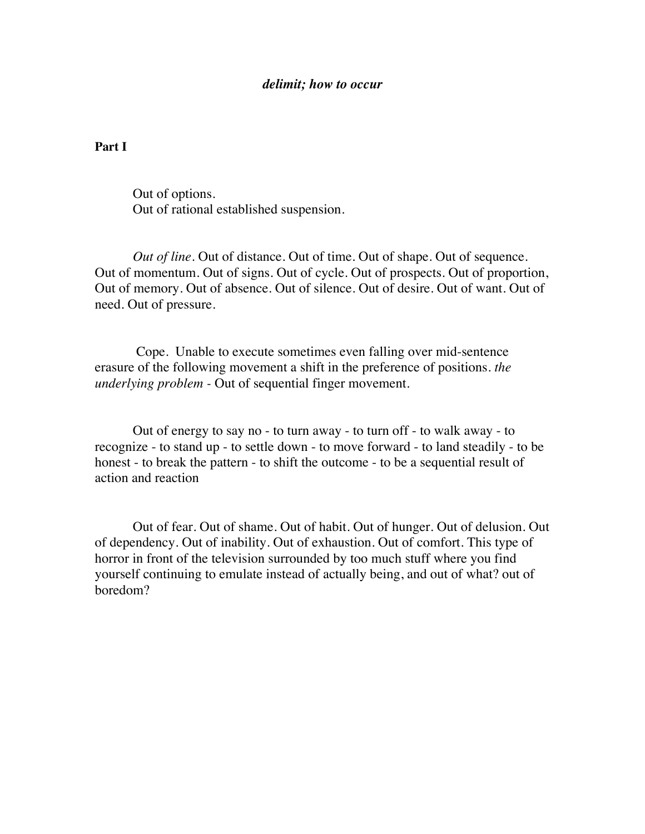## *delimit; how to occur*

## **Part I**

Out of options. Out of rational established suspension.

*Out of line.* Out of distance. Out of time. Out of shape. Out of sequence. Out of momentum. Out of signs. Out of cycle. Out of prospects. Out of proportion, Out of memory. Out of absence. Out of silence. Out of desire. Out of want. Out of need. Out of pressure.

Cope. Unable to execute sometimes even falling over mid-sentence erasure of the following movement a shift in the preference of positions. *the underlying problem -* Out of sequential finger movement*.*

Out of energy to say no - to turn away - to turn off - to walk away - to recognize - to stand up - to settle down - to move forward - to land steadily - to be honest - to break the pattern - to shift the outcome - to be a sequential result of action and reaction

Out of fear. Out of shame. Out of habit. Out of hunger. Out of delusion. Out of dependency. Out of inability. Out of exhaustion. Out of comfort. This type of horror in front of the television surrounded by too much stuff where you find yourself continuing to emulate instead of actually being, and out of what? out of boredom?